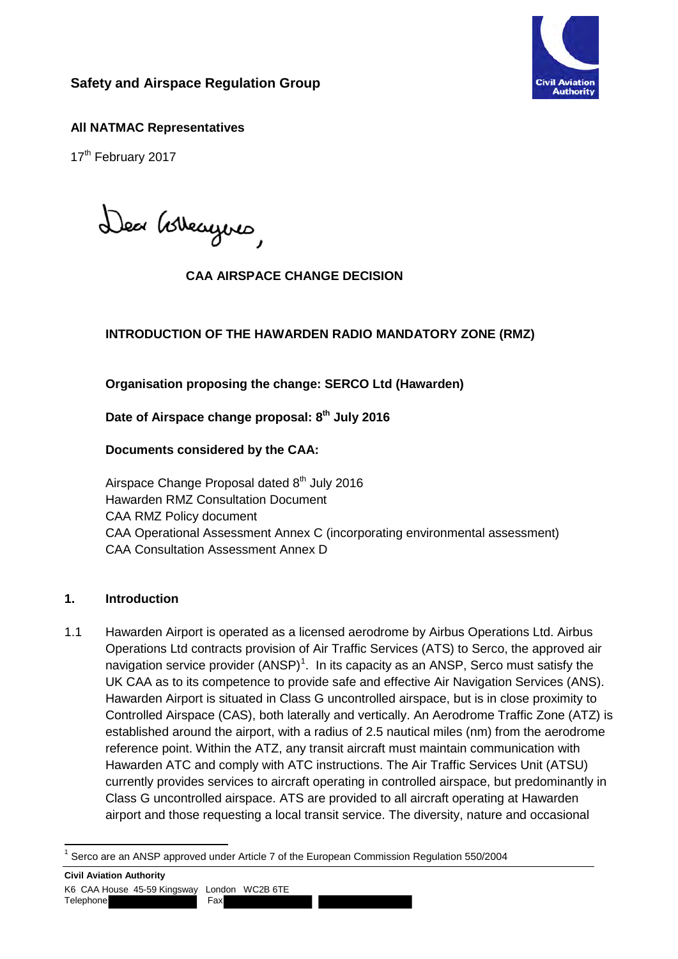

# **Safety and Airspace Regulation Group**

## **All NATMAC Representatives**

17<sup>th</sup> February 2017

Dea Govergons,

### **CAA AIRSPACE CHANGE DECISION**

## **INTRODUCTION OF THE HAWARDEN RADIO MANDATORY ZONE (RMZ)**

#### **Organisation proposing the change: SERCO Ltd (Hawarden)**

Date of Airspace change proposal: 8<sup>th</sup> July 2016

#### **Documents considered by the CAA:**

Airspace Change Proposal dated 8<sup>th</sup> July 2016 Hawarden RMZ Consultation Document CAA RMZ Policy document CAA Operational Assessment Annex C (incorporating environmental assessment) CAA Consultation Assessment Annex D

#### **1. Introduction**

1.1 Hawarden Airport is operated as a licensed aerodrome by Airbus Operations Ltd. Airbus Operations Ltd contracts provision of Air Traffic Services (ATS) to Serco, the approved air navigation service provider  $(ANSP)^1$  $(ANSP)^1$ . In its capacity as an ANSP, Serco must satisfy the UK CAA as to its competence to provide safe and effective Air Navigation Services (ANS). Hawarden Airport is situated in Class G uncontrolled airspace, but is in close proximity to Controlled Airspace (CAS), both laterally and vertically. An Aerodrome Traffic Zone (ATZ) is established around the airport, with a radius of 2.5 nautical miles (nm) from the aerodrome reference point. Within the ATZ, any transit aircraft must maintain communication with Hawarden ATC and comply with ATC instructions. The Air Traffic Services Unit (ATSU) currently provides services to aircraft operating in controlled airspace, but predominantly in Class G uncontrolled airspace. ATS are provided to all aircraft operating at Hawarden airport and those requesting a local transit service. The diversity, nature and occasional

<span id="page-0-0"></span> $\overline{1}$ <sup>1</sup> Serco are an ANSP approved under Article 7 of the European Commission Regulation 550/2004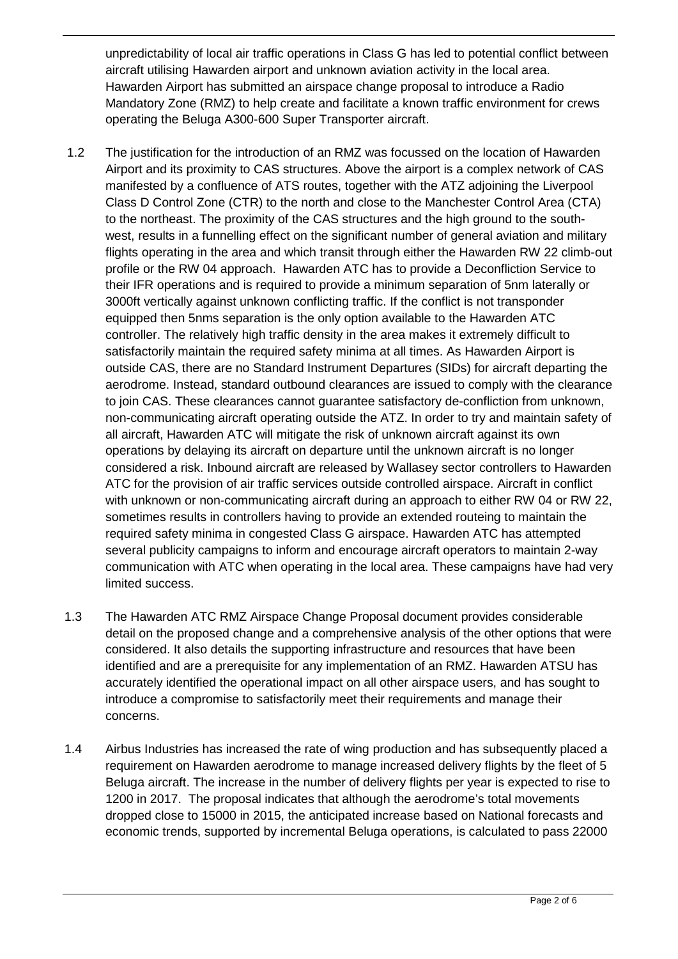unpredictability of local air traffic operations in Class G has led to potential conflict between aircraft utilising Hawarden airport and unknown aviation activity in the local area. Hawarden Airport has submitted an airspace change proposal to introduce a Radio Mandatory Zone (RMZ) to help create and facilitate a known traffic environment for crews operating the Beluga A300-600 Super Transporter aircraft.

- 1.2 The justification for the introduction of an RMZ was focussed on the location of Hawarden Airport and its proximity to CAS structures. Above the airport is a complex network of CAS manifested by a confluence of ATS routes, together with the ATZ adjoining the Liverpool Class D Control Zone (CTR) to the north and close to the Manchester Control Area (CTA) to the northeast. The proximity of the CAS structures and the high ground to the southwest, results in a funnelling effect on the significant number of general aviation and military flights operating in the area and which transit through either the Hawarden RW 22 climb-out profile or the RW 04 approach. Hawarden ATC has to provide a Deconfliction Service to their IFR operations and is required to provide a minimum separation of 5nm laterally or 3000ft vertically against unknown conflicting traffic. If the conflict is not transponder equipped then 5nms separation is the only option available to the Hawarden ATC controller. The relatively high traffic density in the area makes it extremely difficult to satisfactorily maintain the required safety minima at all times. As Hawarden Airport is outside CAS, there are no Standard Instrument Departures (SIDs) for aircraft departing the aerodrome. Instead, standard outbound clearances are issued to comply with the clearance to join CAS. These clearances cannot guarantee satisfactory de-confliction from unknown, non-communicating aircraft operating outside the ATZ. In order to try and maintain safety of all aircraft, Hawarden ATC will mitigate the risk of unknown aircraft against its own operations by delaying its aircraft on departure until the unknown aircraft is no longer considered a risk. Inbound aircraft are released by Wallasey sector controllers to Hawarden ATC for the provision of air traffic services outside controlled airspace. Aircraft in conflict with unknown or non-communicating aircraft during an approach to either RW 04 or RW 22, sometimes results in controllers having to provide an extended routeing to maintain the required safety minima in congested Class G airspace. Hawarden ATC has attempted several publicity campaigns to inform and encourage aircraft operators to maintain 2-way communication with ATC when operating in the local area. These campaigns have had very limited success.
- 1.3 The Hawarden ATC RMZ Airspace Change Proposal document provides considerable detail on the proposed change and a comprehensive analysis of the other options that were considered. It also details the supporting infrastructure and resources that have been identified and are a prerequisite for any implementation of an RMZ. Hawarden ATSU has accurately identified the operational impact on all other airspace users, and has sought to introduce a compromise to satisfactorily meet their requirements and manage their concerns.
- 1.4 Airbus Industries has increased the rate of wing production and has subsequently placed a requirement on Hawarden aerodrome to manage increased delivery flights by the fleet of 5 Beluga aircraft. The increase in the number of delivery flights per year is expected to rise to 1200 in 2017. The proposal indicates that although the aerodrome's total movements dropped close to 15000 in 2015, the anticipated increase based on National forecasts and economic trends, supported by incremental Beluga operations, is calculated to pass 22000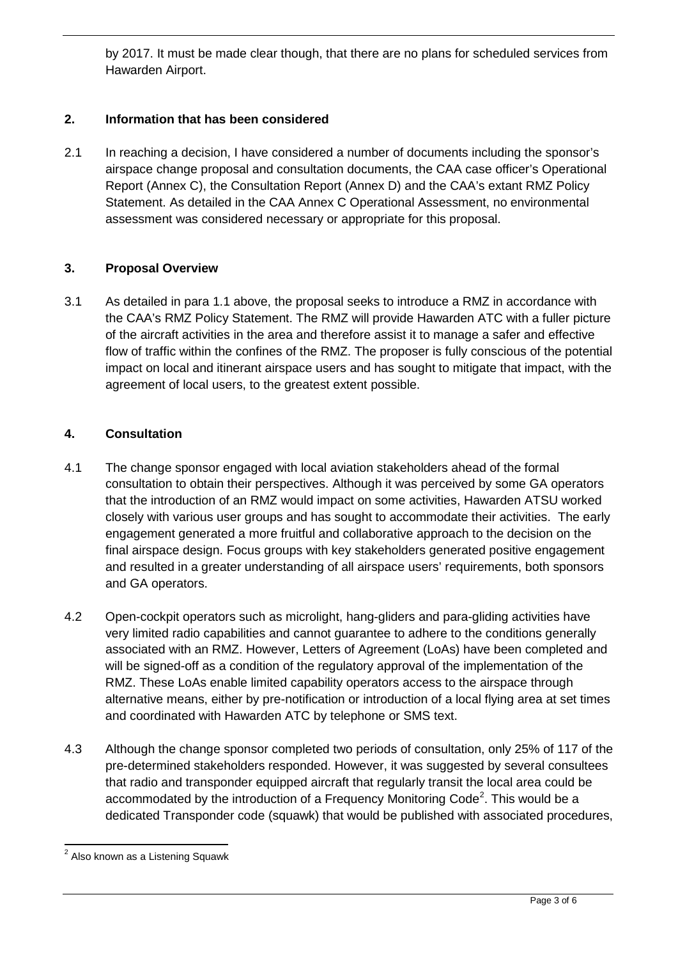by 2017. It must be made clear though, that there are no plans for scheduled services from Hawarden Airport.

## **2. Information that has been considered**

2.1 In reaching a decision, I have considered a number of documents including the sponsor's airspace change proposal and consultation documents, the CAA case officer's Operational Report (Annex C), the Consultation Report (Annex D) and the CAA's extant RMZ Policy Statement. As detailed in the CAA Annex C Operational Assessment, no environmental assessment was considered necessary or appropriate for this proposal.

### **3. Proposal Overview**

3.1 As detailed in para 1.1 above, the proposal seeks to introduce a RMZ in accordance with the CAA's RMZ Policy Statement. The RMZ will provide Hawarden ATC with a fuller picture of the aircraft activities in the area and therefore assist it to manage a safer and effective flow of traffic within the confines of the RMZ. The proposer is fully conscious of the potential impact on local and itinerant airspace users and has sought to mitigate that impact, with the agreement of local users, to the greatest extent possible.

### **4. Consultation**

- 4.1 The change sponsor engaged with local aviation stakeholders ahead of the formal consultation to obtain their perspectives. Although it was perceived by some GA operators that the introduction of an RMZ would impact on some activities, Hawarden ATSU worked closely with various user groups and has sought to accommodate their activities. The early engagement generated a more fruitful and collaborative approach to the decision on the final airspace design. Focus groups with key stakeholders generated positive engagement and resulted in a greater understanding of all airspace users' requirements, both sponsors and GA operators.
- 4.2 Open-cockpit operators such as microlight, hang-gliders and para-gliding activities have very limited radio capabilities and cannot guarantee to adhere to the conditions generally associated with an RMZ. However, Letters of Agreement (LoAs) have been completed and will be signed-off as a condition of the regulatory approval of the implementation of the RMZ. These LoAs enable limited capability operators access to the airspace through alternative means, either by pre-notification or introduction of a local flying area at set times and coordinated with Hawarden ATC by telephone or SMS text.
- 4.3 Although the change sponsor completed two periods of consultation, only 25% of 117 of the pre-determined stakeholders responded. However, it was suggested by several consultees that radio and transponder equipped aircraft that regularly transit the local area could be accommodated by the introduction of a Frequency Monitoring Code<sup>[2](#page-2-0)</sup>. This would be a dedicated Transponder code (squawk) that would be published with associated procedures,

<span id="page-2-0"></span> $\overline{a}$  $2$  Also known as a Listening Squawk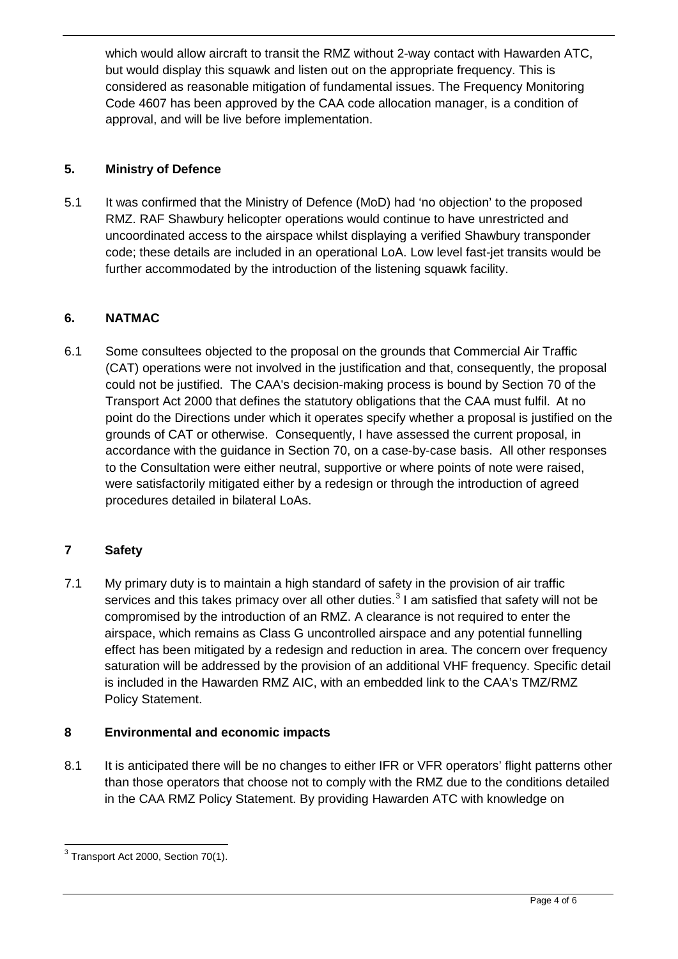which would allow aircraft to transit the RMZ without 2-way contact with Hawarden ATC, but would display this squawk and listen out on the appropriate frequency. This is considered as reasonable mitigation of fundamental issues. The Frequency Monitoring Code 4607 has been approved by the CAA code allocation manager, is a condition of approval, and will be live before implementation.

# **5. Ministry of Defence**

5.1 It was confirmed that the Ministry of Defence (MoD) had 'no objection' to the proposed RMZ. RAF Shawbury helicopter operations would continue to have unrestricted and uncoordinated access to the airspace whilst displaying a verified Shawbury transponder code; these details are included in an operational LoA. Low level fast-jet transits would be further accommodated by the introduction of the listening squawk facility.

# **6. NATMAC**

6.1 Some consultees objected to the proposal on the grounds that Commercial Air Traffic (CAT) operations were not involved in the justification and that, consequently, the proposal could not be justified. The CAA's decision-making process is bound by Section 70 of the Transport Act 2000 that defines the statutory obligations that the CAA must fulfil. At no point do the Directions under which it operates specify whether a proposal is justified on the grounds of CAT or otherwise. Consequently, I have assessed the current proposal, in accordance with the guidance in Section 70, on a case-by-case basis. All other responses to the Consultation were either neutral, supportive or where points of note were raised, were satisfactorily mitigated either by a redesign or through the introduction of agreed procedures detailed in bilateral LoAs.

# **7 Safety**

7.1 My primary duty is to maintain a high standard of safety in the provision of air traffic services and this takes primacy over all other duties.<sup>[3](#page-3-0)</sup> I am satisfied that safety will not be compromised by the introduction of an RMZ. A clearance is not required to enter the airspace, which remains as Class G uncontrolled airspace and any potential funnelling effect has been mitigated by a redesign and reduction in area. The concern over frequency saturation will be addressed by the provision of an additional VHF frequency. Specific detail is included in the Hawarden RMZ AIC, with an embedded link to the CAA's TMZ/RMZ Policy Statement.

# **8 Environmental and economic impacts**

8.1 It is anticipated there will be no changes to either IFR or VFR operators' flight patterns other than those operators that choose not to comply with the RMZ due to the conditions detailed in the CAA RMZ Policy Statement. By providing Hawarden ATC with knowledge on

<span id="page-3-0"></span> $\overline{a}$  $3$  Transport Act 2000, Section 70(1).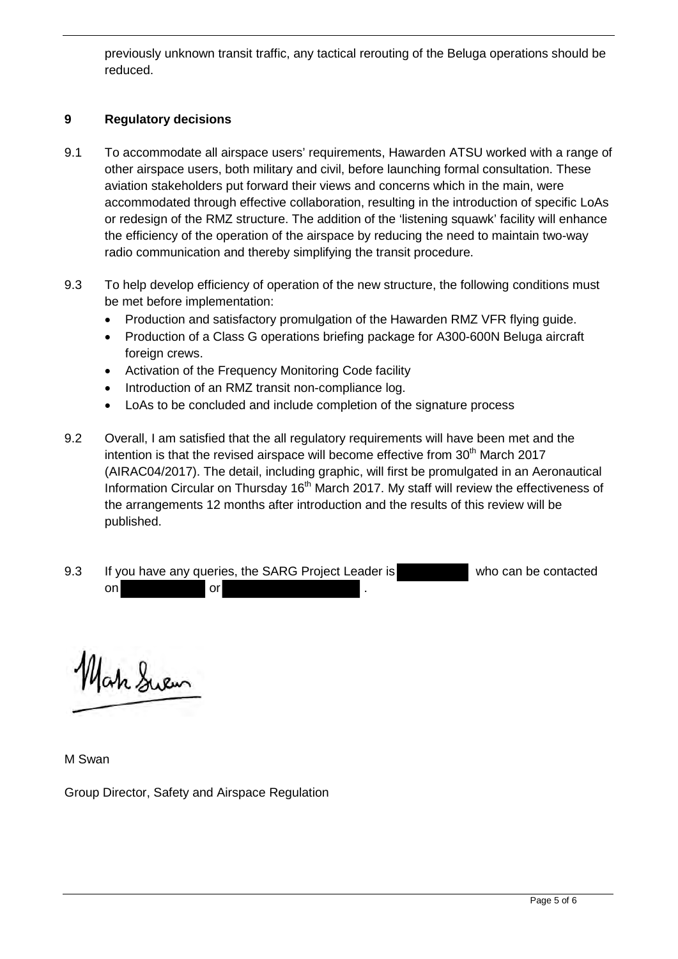previously unknown transit traffic, any tactical rerouting of the Beluga operations should be reduced.

### **9 Regulatory decisions**

- 9.1 To accommodate all airspace users' requirements, Hawarden ATSU worked with a range of other airspace users, both military and civil, before launching formal consultation. These aviation stakeholders put forward their views and concerns which in the main, were accommodated through effective collaboration, resulting in the introduction of specific LoAs or redesign of the RMZ structure. The addition of the 'listening squawk' facility will enhance the efficiency of the operation of the airspace by reducing the need to maintain two-way radio communication and thereby simplifying the transit procedure.
- 9.3 To help develop efficiency of operation of the new structure, the following conditions must be met before implementation:
	- Production and satisfactory promulgation of the Hawarden RMZ VFR flying guide.
	- Production of a Class G operations briefing package for A300-600N Beluga aircraft foreign crews.
	- Activation of the Frequency Monitoring Code facility
	- Introduction of an RMZ transit non-compliance log.
	- LoAs to be concluded and include completion of the signature process
- 9.2 Overall, I am satisfied that the all regulatory requirements will have been met and the intention is that the revised airspace will become effective from  $30<sup>th</sup>$  March 2017 (AIRAC04/2017). The detail, including graphic, will first be promulgated in an Aeronautical Information Circular on Thursday  $16<sup>th</sup>$  March 2017. My staff will review the effectiveness of the arrangements 12 months after introduction and the results of this review will be published.

9.3 If you have any queries, the SARG Project Leader is who can be contacted on or  $\overline{\phantom{a}}$  .

Jah Suem

M Swan

Group Director, Safety and Airspace Regulation